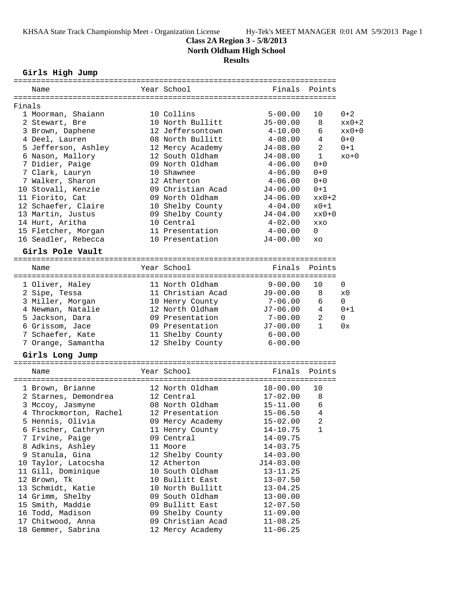## **Class 2A Region 3 - 5/8/2013**

**North Oldham High School**

## **Results**

### **Girls High Jump**

|        | Name                   |  | Year School       | Finals                         | Points   |  |  |  |
|--------|------------------------|--|-------------------|--------------------------------|----------|--|--|--|
|        |                        |  |                   |                                |          |  |  |  |
| Finals |                        |  |                   |                                |          |  |  |  |
|        | 1 Moorman, Shaiann     |  | 10 Collins        | $5 - 00.00$<br>10              | $0 + 2$  |  |  |  |
|        | 2 Stewart, Bre         |  | 10 North Bullitt  | $J5 - 00.00$<br>8              | $xx0+2$  |  |  |  |
|        | 3 Brown, Daphene       |  | 12 Jeffersontown  | 6<br>$4 - 10.00$               | $xx0+0$  |  |  |  |
|        | 4 Deel, Lauren         |  | 08 North Bullitt  | $4 - 08.00$<br>4               | $0 + 0$  |  |  |  |
|        | 5 Jefferson, Ashley    |  | 12 Mercy Academy  | 2<br>$J4 - 08.00$              | $0 + 1$  |  |  |  |
|        | 6 Nason, Mallory       |  | 12 South Oldham   | $\mathbf{1}$<br>$J4-08.00$     | $xo+0$   |  |  |  |
|        | 7 Didier, Paige        |  | 09 North Oldham   | $4 - 06.00$<br>$0 + 0$         |          |  |  |  |
|        | 7 Clark, Lauryn        |  | 10 Shawnee        | $4 - 06.00$<br>$0 + 0$         |          |  |  |  |
|        | 7 Walker, Sharon       |  | 12 Atherton       | $0 + 0$<br>$4 - 06.00$         |          |  |  |  |
|        | 10 Stovall, Kenzie     |  | 09 Christian Acad | $0 + 1$<br>J4-06.00            |          |  |  |  |
|        | 11 Fiorito, Cat        |  | 09 North Oldham   | $J4 - 06.00$                   | $xx0+2$  |  |  |  |
|        | 12 Schaefer, Claire    |  | 10 Shelby County  | $4 - 04.00$                    | $x0+1$   |  |  |  |
|        | 13 Martin, Justus      |  | 09 Shelby County  | J4-04.00                       | $xx0+0$  |  |  |  |
|        | 14 Hurt, Aritha        |  | 10 Central        | $4 - 02.00$<br>XXO             |          |  |  |  |
|        | 15 Fletcher, Morgan    |  | 11 Presentation   | $4 - 00.00$<br>$\Omega$        |          |  |  |  |
|        | 16 Seadler, Rebecca    |  | 10 Presentation   | $J4 - 00.00$<br>XO             |          |  |  |  |
|        |                        |  |                   |                                |          |  |  |  |
|        | Girls Pole Vault       |  |                   |                                |          |  |  |  |
|        |                        |  | Year School       | Finals                         | Points   |  |  |  |
|        | Name                   |  |                   |                                |          |  |  |  |
|        | 1 Oliver, Haley        |  | 11 North Oldham   | $9 - 00.00$<br>10              | 0        |  |  |  |
|        | 2 Sipe, Tessa          |  | 11 Christian Acad | $J9 - 00.00$<br>8              | x0       |  |  |  |
|        | 3 Miller, Morgan       |  | 10 Henry County   | $7 - 06.00$<br>6               | 0        |  |  |  |
|        | 4 Newman, Natalie      |  | 12 North Oldham   | 4<br>$J7 - 06.00$              | $0 + 1$  |  |  |  |
|        | 5 Jackson, Dara        |  | 09 Presentation   | $\overline{a}$<br>$7 - 00.00$  | $\Omega$ |  |  |  |
|        | 6 Grissom, Jace        |  | 09 Presentation   | $J7 - 00.00$<br>$\mathbf{1}$   | 0x       |  |  |  |
|        | 7 Schaefer, Kate       |  | 11 Shelby County  | $6 - 00.00$                    |          |  |  |  |
|        | 7 Orange, Samantha     |  | 12 Shelby County  | $6 - 00.00$                    |          |  |  |  |
|        |                        |  |                   |                                |          |  |  |  |
|        | Girls Long Jump        |  |                   |                                |          |  |  |  |
|        | Name                   |  | Year School       | Finals                         | Points   |  |  |  |
|        |                        |  |                   |                                |          |  |  |  |
|        | 1 Brown, Brianne       |  | 12 North Oldham   | $18 - 00.00$<br>10             |          |  |  |  |
|        | 2 Starnes, Demondrea   |  | 12 Central        | $17 - 02.00$<br>8              |          |  |  |  |
|        | 3 Mccoy, Jasmyne       |  | 08 North Oldham   | $\epsilon$<br>$15 - 11.00$     |          |  |  |  |
|        | 4 Throckmorton, Rachel |  | 12 Presentation   | $\overline{4}$<br>$15 - 06.50$ |          |  |  |  |
|        | 5 Hennis, Olivia       |  | 09 Mercy Academy  | $15 - 02.00$<br>2              |          |  |  |  |
|        | 6 Fischer, Cathryn     |  | 11 Henry County   | $\mathbf 1$<br>$14 - 10.75$    |          |  |  |  |
|        | 7 Irvine, Paige        |  | 09 Central        | $14 - 09.75$                   |          |  |  |  |
|        | 8 Adkins, Ashley       |  | 11 Moore          | $14 - 03.75$                   |          |  |  |  |
|        | 9 Stanula, Gina        |  | 12 Shelby County  | $14 - 03.00$                   |          |  |  |  |
|        | 10 Taylor, Latocsha    |  | 12 Atherton       | $J14-03.00$                    |          |  |  |  |
|        | 11 Gill, Dominique     |  | 10 South Oldham   | $13 - 11.25$                   |          |  |  |  |
|        | 12 Brown, Tk           |  | 10 Bullitt East   |                                |          |  |  |  |
|        | 13 Schmidt, Katie      |  |                   | $13 - 07.50$                   |          |  |  |  |
|        |                        |  | 10 North Bullitt  | $13 - 04.25$                   |          |  |  |  |
|        | 14 Grimm, Shelby       |  | 09 South Oldham   | $13 - 00.00$                   |          |  |  |  |
|        | 15 Smith, Maddie       |  | 09 Bullitt East   | $12 - 07.50$                   |          |  |  |  |
|        | 16 Todd, Madison       |  | 09 Shelby County  | $11 - 09.00$                   |          |  |  |  |
|        | 17 Chitwood, Anna      |  | 09 Christian Acad | $11 - 08.25$                   |          |  |  |  |
|        | 18 Gemmer, Sabrina     |  | 12 Mercy Academy  | $11 - 06.25$                   |          |  |  |  |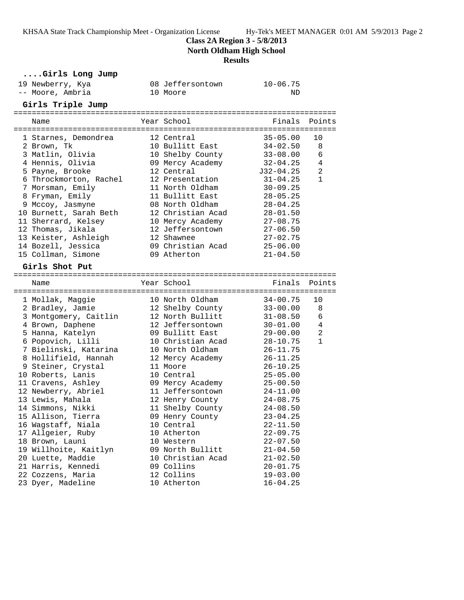**Class 2A Region 3 - 5/8/2013**

**North Oldham High School**

### **Results**

### **....Girls Long Jump**

| 19 Newberry, Kya<br>-- Moore, Ambria |  | 08 Jeffersontown<br>10 Moore | $10 - 06.75$<br>ND |                |  |  |  |  |
|--------------------------------------|--|------------------------------|--------------------|----------------|--|--|--|--|
| Girls Triple Jump                    |  |                              |                    |                |  |  |  |  |
| Name                                 |  | Year School                  | Finals             | Points         |  |  |  |  |
| 1 Starnes, Demondrea                 |  | 12 Central                   | $35 - 05.00$       | 10             |  |  |  |  |
| 2 Brown, Tk                          |  | 10 Bullitt East              | $34 - 02.50$       | 8              |  |  |  |  |
| 3 Matlin, Olivia                     |  | 10 Shelby County             | $33 - 08.00$       | 6              |  |  |  |  |
| 4 Hennis, Olivia                     |  | 09 Mercy Academy             | $32 - 04.25$       | 4              |  |  |  |  |
| 5 Payne, Brooke                      |  | 12 Central                   | J32-04.25          | 2              |  |  |  |  |
| 6 Throckmorton, Rachel               |  | 12 Presentation              | $31 - 04.25$       | $\mathbf{1}$   |  |  |  |  |
| 7 Morsman, Emily                     |  | 11 North Oldham              | $30 - 09.25$       |                |  |  |  |  |
| 8 Fryman, Emily                      |  | 11 Bullitt East              | $28 - 05.25$       |                |  |  |  |  |
| 9 Mccoy, Jasmyne                     |  | 08 North Oldham              | $28 - 04.25$       |                |  |  |  |  |
| 10 Burnett, Sarah Beth               |  | 12 Christian Acad            | $28 - 01.50$       |                |  |  |  |  |
| 11 Sherrard, Kelsey                  |  | 10 Mercy Academy             | $27 - 08.75$       |                |  |  |  |  |
| 12 Thomas, Jikala                    |  | 12 Jeffersontown             | $27 - 06.50$       |                |  |  |  |  |
| 13 Keister, Ashleigh                 |  | 12 Shawnee                   | $27 - 02.75$       |                |  |  |  |  |
| 14 Bozell, Jessica                   |  | 09 Christian Acad            | $25 - 06.00$       |                |  |  |  |  |
| 15 Collman, Simone                   |  | 09 Atherton                  | $21 - 04.50$       |                |  |  |  |  |
| Girls Shot Put                       |  |                              |                    |                |  |  |  |  |
| Name                                 |  | Year School                  | Finals             | Points         |  |  |  |  |
|                                      |  |                              |                    |                |  |  |  |  |
| 1 Mollak, Maggie                     |  | 10 North Oldham              | $34 - 00.75$       | 10             |  |  |  |  |
| 2 Bradley, Jamie                     |  | 12 Shelby County             | $33 - 00.00$       | 8              |  |  |  |  |
| 3 Montgomery, Caitlin                |  | 12 North Bullitt             | $31 - 08.50$       | $\epsilon$     |  |  |  |  |
| 4 Brown, Daphene                     |  | 12 Jeffersontown             | $30 - 01.00$       | $\overline{4}$ |  |  |  |  |
| 5 Hanna, Katelyn                     |  | 09 Bullitt East              | $29 - 00.00$       | 2              |  |  |  |  |
| 6 Popovich, Lilli                    |  | 10 Christian Acad            | $28 - 10.75$       | $\mathbf{1}$   |  |  |  |  |
| 7 Bielinski, Katarina                |  | 10 North Oldham              | $26 - 11.75$       |                |  |  |  |  |
| 8 Hollifield, Hannah                 |  | 12 Mercy Academy             | $26 - 11.25$       |                |  |  |  |  |
| 9 Steiner, Crystal                   |  | 11 Moore                     | $26 - 10.25$       |                |  |  |  |  |
| 10 Roberts, Lanis                    |  | 10 Central                   | $25 - 05.00$       |                |  |  |  |  |
| 11 Cravens, Ashley                   |  | 09 Mercy Academy             | $25 - 00.50$       |                |  |  |  |  |
| 12 Newberry, Abriel                  |  | 11 Jeffersontown             | $24 - 11.00$       |                |  |  |  |  |
| 13 Lewis, Mahala                     |  | 12 Henry County              | $24 - 08.75$       |                |  |  |  |  |
| 14 Simmons, Nikki                    |  | 11 Shelby County             | $24 - 08.50$       |                |  |  |  |  |
| 15 Allison, Tierra                   |  | 09 Henry County              | $23 - 04.25$       |                |  |  |  |  |
| 16 Wagstaff, Niala                   |  | 10 Central                   | $22 - 11.50$       |                |  |  |  |  |
| 17 Allgeier, Ruby                    |  | 10 Atherton                  | $22 - 09.75$       |                |  |  |  |  |
| 18 Brown, Launi                      |  | 10 Western                   | $22 - 07.50$       |                |  |  |  |  |
| 19 Willhoite, Kaitlyn                |  | 09 North Bullitt             | $21 - 04.50$       |                |  |  |  |  |
| 20 Luette, Maddie                    |  | 10 Christian Acad            | $21 - 02.50$       |                |  |  |  |  |
| 21 Harris, Kennedi                   |  | 09 Collins                   | $20 - 01.75$       |                |  |  |  |  |
| 22 Cozzens, Maria                    |  | 12 Collins                   | $19 - 03.00$       |                |  |  |  |  |
| 23 Dyer, Madeline                    |  | 10 Atherton                  | $16 - 04.25$       |                |  |  |  |  |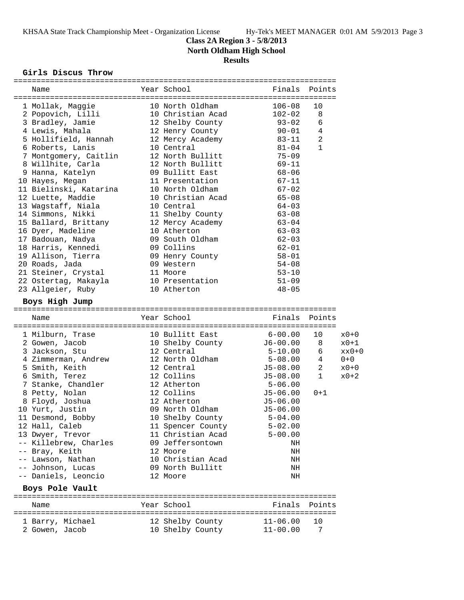**Class 2A Region 3 - 5/8/2013**

**North Oldham High School**

# **Results**

#### **Girls Discus Throw**

| Name                   | Year School               | Finals               | Points       |         |
|------------------------|---------------------------|----------------------|--------------|---------|
| 1 Mollak, Maggie       | 10 North Oldham           | $106 - 08$           | 10           |         |
| 2 Popovich, Lilli      | 10 Christian Acad         | $102 - 02$           | 8            |         |
| 3 Bradley, Jamie       | 12 Shelby County          | $93 - 02$            | 6            |         |
| 4 Lewis, Mahala        | 12 Henry County           | $90 - 01$            | 4            |         |
| 5 Hollifield, Hannah   | 12 Mercy Academy          | 83-11                | 2            |         |
| 6 Roberts, Lanis       | 10 Central                | 81-04                | $\mathbf{1}$ |         |
| 7 Montgomery, Caitlin  | 12 North Bullitt          | $75 - 09$            |              |         |
| 8 Willhite, Carla      | 12 North Bullitt          | $69 - 11$            |              |         |
| 9 Hanna, Katelyn       | 09 Bullitt East           | $68 - 06$            |              |         |
| 10 Hayes, Megan        | 11 Presentation           | $67 - 11$            |              |         |
| 11 Bielinski, Katarina | 10 North Oldham           | $67 - 02$            |              |         |
| 12 Luette, Maddie      | 10 Christian Acad         | $65 - 08$            |              |         |
| 13 Wagstaff, Niala     | 10 Central                | $64 - 03$            |              |         |
| 14 Simmons, Nikki      | 11 Shelby County          | $63 - 08$            |              |         |
| 15 Ballard, Brittany   | 12 Mercy Academy          | $63 - 04$            |              |         |
| 16 Dyer, Madeline      | 10 Atherton               | $63 - 03$            |              |         |
| 17 Badouan, Nadya      | 09 South Oldham           | $62 - 03$            |              |         |
| 18 Harris, Kennedi     | 09 Collins                | 62-01                |              |         |
| 19 Allison, Tierra     | 09 Henry County           | $58 - 01$            |              |         |
| 20 Roads, Jada         | 09 Western                | $54 - 08$            |              |         |
| 21 Steiner, Crystal    | 11 Moore                  | $53 - 10$            |              |         |
| 22 Ostertag, Makayla   | 10 Presentation           | $51 - 09$            |              |         |
| 23 Allgeier, Ruby      | 10 Atherton               | $48 - 05$            |              |         |
|                        |                           |                      |              |         |
| Boys High Jump         |                           |                      |              |         |
|                        |                           |                      |              |         |
| Name                   | Year School               | Finals Points        |              |         |
|                        |                           |                      |              |         |
| 1 Milburn, Trase       | 10 Bullitt East           | $6 - 00.00$          | 10           | $x0+0$  |
| 2 Gowen, Jacob         | 10 Shelby County 56-00.00 |                      | 8            | $x0+1$  |
| 3 Jackson, Stu         | 12 Central                | $5 - 10.00$          | 6            |         |
| 4 Zimmerman, Andrew    | 12 North Oldham           | $5 - 08.00$          | 4            | $0 + 0$ |
| 5 Smith, Keith         | 12 Central                | J5-08.00             | 2            | $x0+0$  |
| 6 Smith, Terez         | 12 Collins                | J5-08.00             | 1            | $x0+2$  |
| 7 Stanke, Chandler     | 12 Atherton               | $5 - 06.00$          |              |         |
| 8 Petty, Nolan         | 12 Collins                | $J5-06.00$           | $0 + 1$      |         |
| 8 Floyd, Joshua        | 12 Atherton               |                      |              |         |
| 10 Yurt, Justin        | 09 North Oldham           | J5-06.00<br>J5-06.00 |              |         |
| 11 Desmond, Bobby      | 10 Shelby County          | $5 - 04.00$          |              |         |
| 12 Hall, Caleb         | 11 Spencer County         | $5 - 02.00$          |              |         |
| 13 Dwyer, Trevor       | 11 Christian Acad         | $5 - 00.00$          |              |         |
| -- Killebrew, Charles  | 09 Jeffersontown          | ΝH                   |              |         |
| -- Bray, Keith         | 12 Moore                  | ΝH                   |              |         |
| -- Lawson, Nathan      | 10 Christian Acad         | ΝH                   |              |         |
| -- Johnson, Lucas      | 09 North Bullitt          | ΝH                   |              |         |
| -- Daniels, Leoncio    | 12 Moore                  | ΝH                   |              |         |
| Boys Pole Vault        |                           |                      |              |         |
| Name                   | Year School               | Finals               | Points       |         |
| 1 Barry, Michael       | 12 Shelby County          | $11 - 06.00$         | 10           |         |
| 2 Gowen, Jacob         | 10 Shelby County          | $11 - 00.00$         | 7            | $xx0+0$ |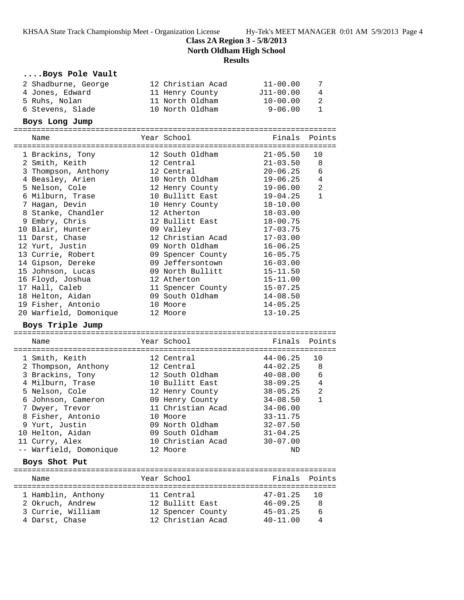**Class 2A Region 3 - 5/8/2013**

**North Oldham High School**

### **Results**

## **....Boys Pole Vault**

| 2 Shadburne, George<br>4 Jones, Edward<br>5 Ruhs, Nolan<br>6 Stevens, Slade   | 12 Christian Acad<br>11 Henry County<br>11 North Oldham<br>10 North Oldham | $11 - 00.00$<br>$J11-00.00$<br>$10 - 00.00$<br>$9 - 06.00$     | $\overline{4}$<br>-2<br>1   |
|-------------------------------------------------------------------------------|----------------------------------------------------------------------------|----------------------------------------------------------------|-----------------------------|
| Boys Long Jump                                                                |                                                                            |                                                                |                             |
| Name                                                                          | Year School                                                                | Finals Points                                                  |                             |
| 1 Brackins, Tony<br>2 Smith, Keith<br>3 Thompson, Anthony<br>4 Beasley, Arien | 12 South Oldham<br>12 Central<br>12 Central<br>10 North Oldham             | $21 - 05.50$<br>$21 - 03.50$ 8<br>$20 - 06.25$<br>$19 - 06.25$ | 10<br>- 6<br>$\overline{4}$ |
| 5 Nelson, Cole                                                                | 12 Henry County                                                            | $19 - 06.00$                                                   | $\mathfrak{D}$              |
| 6 Milburn, Trase<br>7 Ugaan Dovin                                             | 10 Bullitt East<br>$10$ Uonry County                                       | $19 - 04.25$<br>$19-10$ 00                                     |                             |

| 5 Nelson, Cole         | 12 Henry County   | $19 - 06.00$ | 2            |
|------------------------|-------------------|--------------|--------------|
| 6 Milburn, Trase       | 10 Bullitt East   | 19-04.25     | $\mathbf{1}$ |
| 7 Haqan, Devin         | 10 Henry County   | 18-10.00     |              |
| 8 Stanke, Chandler     | 12 Atherton       | $18 - 03.00$ |              |
| 9 Embry, Chris         | 12 Bullitt East   | 18-00.75     |              |
| 10 Blair, Hunter       | 09 Valley         | $17 - 03.75$ |              |
| 11 Darst, Chase        | 12 Christian Acad | 17-03.00     |              |
| 12 Yurt, Justin        | 09 North Oldham   | 16-06.25     |              |
| 13 Currie, Robert      | 09 Spencer County | $16 - 05.75$ |              |
| 14 Gipson, Dereke      | 09 Jeffersontown  | $16 - 03.00$ |              |
| 15 Johnson, Lucas      | 09 North Bullitt  | $15 - 11.50$ |              |
| 16 Floyd, Joshua       | 12 Atherton       | 15-11.00     |              |
| 17 Hall, Caleb         | 11 Spencer County | $15 - 07.25$ |              |
| 18 Helton, Aidan       | 09 South Oldham   | $14 - 08.50$ |              |
| 19 Fisher, Antonio     | 10 Moore          | $14 - 05.25$ |              |
| 20 Warfield, Domonique | 12 Moore          | $13 - 10.25$ |              |

#### **Boys Triple Jump**

| Name                          | Year School       | Finals         | Points         |
|-------------------------------|-------------------|----------------|----------------|
|                               |                   |                |                |
| 1 Smith, Keith                | 12 Central        | 44-06.25       | 10             |
| 2 Thompson, Anthony           | 12 Central        | 44-02.25       | 8              |
| 3 Brackins, Tony              | 12 South Oldham   | $40 - 08.00$   | 6              |
| 4 Milburn, Trase              | 10 Bullitt East   | 38-09.25       | $\overline{4}$ |
| 5 Nelson, Cole                | 12 Henry County   | 38-05.25       | $\overline{2}$ |
| 6 Johnson, Cameron            | 09 Henry County   | $34 - 08.50$   | $\mathbf{1}$   |
| 7 Dwyer, Trevor               | 11 Christian Acad | $34 - 06.00$   |                |
| 8 Fisher, Antonio             | 10 Moore          | $33 - 11.75$   |                |
| 9 Yurt, Justin                | 09 North Oldham   | $32 - 07.50$   |                |
| 10 Helton, Aidan              | 09 South Oldham   | $31 - 04.25$   |                |
| 11 Curry, Alex                | 10 Christian Acad | $30 - 07.00$   |                |
| -- Warfield, Domonique        | 12 Moore          | ND             |                |
| Boys Shot Put                 |                   |                |                |
| Name                          | Year School       | Finals         | Points         |
|                               |                   |                |                |
| 1 Hamblin, Anthony 11 Central |                   | 47-01.25       | 10             |
| 2 Okruch, Andrew              | 12 Bullitt East   | $46 - 09.25$ 8 |                |
| 3 Currie, William             | 12 Spencer County | $45 - 01.25$   | 6              |
|                               |                   |                |                |

4 Darst, Chase 12 Christian Acad 40-11.00 4